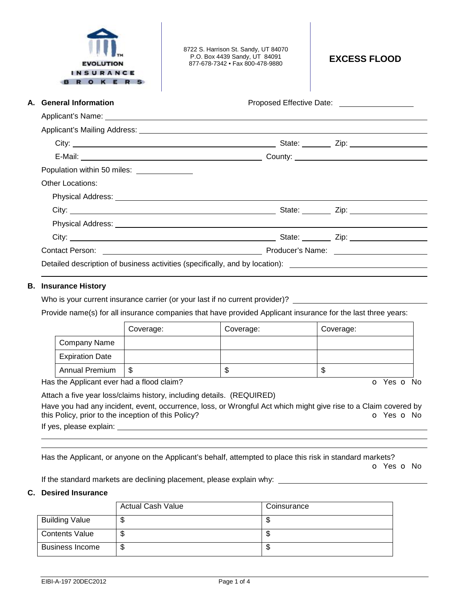| <b>EVOLUTION</b><br><b>INSURANCE</b><br><b>ROKERS</b>                        | 8722 S. Harrison St. Sandy, UT 84070<br>P.O. Box 4439 Sandy, UT 84091<br>877-678-7342 • Fax 800-478-9880 | <b>EXCESS FLOOD</b>                                   |  |  |  |
|------------------------------------------------------------------------------|----------------------------------------------------------------------------------------------------------|-------------------------------------------------------|--|--|--|
| A. General Information                                                       |                                                                                                          | Proposed Effective Date: <u>_____________________</u> |  |  |  |
|                                                                              |                                                                                                          |                                                       |  |  |  |
|                                                                              |                                                                                                          |                                                       |  |  |  |
|                                                                              |                                                                                                          |                                                       |  |  |  |
|                                                                              |                                                                                                          |                                                       |  |  |  |
| Population within 50 miles: ______________                                   |                                                                                                          |                                                       |  |  |  |
| Other Locations:                                                             |                                                                                                          |                                                       |  |  |  |
|                                                                              |                                                                                                          |                                                       |  |  |  |
|                                                                              |                                                                                                          |                                                       |  |  |  |
|                                                                              |                                                                                                          |                                                       |  |  |  |
|                                                                              |                                                                                                          |                                                       |  |  |  |
|                                                                              |                                                                                                          |                                                       |  |  |  |
| Detailed description of business activities (specifically, and by location): |                                                                                                          |                                                       |  |  |  |

## **B. Insurance History**

Who is your current insurance carrier (or your last if no current provider)? \_\_

Provide name(s) for all insurance companies that have provided Applicant insurance for the last three years:

|                        | Coverage: | Coverage: | Coverage: |
|------------------------|-----------|-----------|-----------|
| Company Name           |           |           |           |
| <b>Expiration Date</b> |           |           |           |
| Annual Premium         | S.        | S         | J         |

Has the Applicant ever had a flood claim?

Attach a five year loss/claims history, including details. (REQUIRED)

Have you had any incident, event, occurrence, loss, or Wrongful Act which might give rise to a Claim covered by this Policy, prior to the inception of this Policy? **o** Yes **o** No If yes, please explain:

 Has the Applicant, or anyone on the Applicant's behalf, attempted to place this risk in standard markets?

o Yes o No

If the standard markets are declining placement, please explain why:

## **C. Desired Insurance**

|                        | <b>Actual Cash Value</b> | Coinsurance |
|------------------------|--------------------------|-------------|
| <b>Building Value</b>  | ۰D                       | ۰D          |
| <b>Contents Value</b>  | ۰D                       | ۰D          |
| <b>Business Income</b> | J                        | Φ           |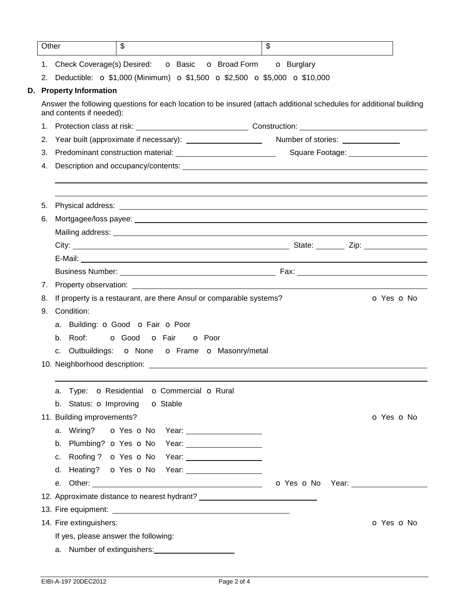| Other |                                                                                                                                                 | \$                                        |                 |                            | $\mathfrak{L}$ |  |                                        |            |  |
|-------|-------------------------------------------------------------------------------------------------------------------------------------------------|-------------------------------------------|-----------------|----------------------------|----------------|--|----------------------------------------|------------|--|
|       | 1. Check Coverage(s) Desired: <b>O</b> Basic <b>O</b> Broad Form <b>O</b> Burglary                                                              |                                           |                 |                            |                |  |                                        |            |  |
|       | 2. Deductible: $\sigma$ \$1,000 (Minimum) $\sigma$ \$1,500 $\sigma$ \$2,500 $\sigma$ \$5,000 $\sigma$ \$10,000                                  |                                           |                 |                            |                |  |                                        |            |  |
|       | D. Property Information                                                                                                                         |                                           |                 |                            |                |  |                                        |            |  |
|       | Answer the following questions for each location to be insured (attach additional schedules for additional building<br>and contents if needed): |                                           |                 |                            |                |  |                                        |            |  |
|       |                                                                                                                                                 |                                           |                 |                            |                |  |                                        |            |  |
| 2.    |                                                                                                                                                 |                                           |                 |                            |                |  |                                        |            |  |
| 3.    |                                                                                                                                                 |                                           |                 |                            |                |  | Square Footage: ______________________ |            |  |
| 4.    |                                                                                                                                                 |                                           |                 |                            |                |  |                                        |            |  |
| 5.    |                                                                                                                                                 |                                           |                 |                            |                |  |                                        |            |  |
| 6.    |                                                                                                                                                 |                                           |                 |                            |                |  |                                        |            |  |
|       |                                                                                                                                                 |                                           |                 |                            |                |  |                                        |            |  |
|       |                                                                                                                                                 |                                           |                 |                            |                |  |                                        |            |  |
|       |                                                                                                                                                 |                                           |                 |                            |                |  |                                        |            |  |
|       |                                                                                                                                                 |                                           |                 |                            |                |  |                                        |            |  |
| 7.    |                                                                                                                                                 |                                           |                 |                            |                |  |                                        |            |  |
| 8.    | If property is a restaurant, are there Ansul or comparable systems?                                                                             |                                           |                 |                            |                |  |                                        | O Yes O No |  |
| 9.    | Condition:                                                                                                                                      |                                           |                 |                            |                |  |                                        |            |  |
|       | a. Building: O Good O Fair O Poor                                                                                                               |                                           |                 |                            |                |  |                                        |            |  |
|       | b. Roof:                                                                                                                                        | <b>o</b> Good <b>o</b> Fair <b>o</b> Poor |                 |                            |                |  |                                        |            |  |
|       | c. Outbuildings: o None o Frame o Masonry/metal                                                                                                 |                                           |                 |                            |                |  |                                        |            |  |
|       |                                                                                                                                                 |                                           |                 |                            |                |  |                                        |            |  |
|       |                                                                                                                                                 |                                           |                 |                            |                |  |                                        |            |  |
|       | Type: O Residential O Commercial O Rural<br>a.                                                                                                  |                                           |                 |                            |                |  |                                        |            |  |
|       | b. Status: <b>o</b> Improving                                                                                                                   |                                           | <b>o</b> Stable |                            |                |  |                                        |            |  |
|       | 11. Building improvements?                                                                                                                      |                                           |                 |                            |                |  |                                        | O Yes O No |  |
|       | a. Wiring? <b>o</b> Yes <b>o</b> No                                                                                                             |                                           |                 | Year: ____________________ |                |  |                                        |            |  |
|       | b. Plumbing? o Yes o No Year:                                                                                                                   |                                           |                 |                            |                |  |                                        |            |  |
|       | Roofing? o Yes o No Year: ___________________<br>C.                                                                                             |                                           |                 |                            |                |  |                                        |            |  |
|       | d.                                                                                                                                              |                                           |                 |                            |                |  |                                        |            |  |
|       |                                                                                                                                                 |                                           |                 |                            |                |  |                                        |            |  |
|       | 12. Approximate distance to nearest hydrant? ___________________________________                                                                |                                           |                 |                            |                |  |                                        |            |  |
|       |                                                                                                                                                 |                                           |                 |                            |                |  |                                        |            |  |
|       | 14. Fire extinguishers:                                                                                                                         |                                           |                 |                            |                |  |                                        | O Yes O No |  |
|       | If yes, please answer the following:                                                                                                            |                                           |                 |                            |                |  |                                        |            |  |
|       |                                                                                                                                                 |                                           |                 |                            |                |  |                                        |            |  |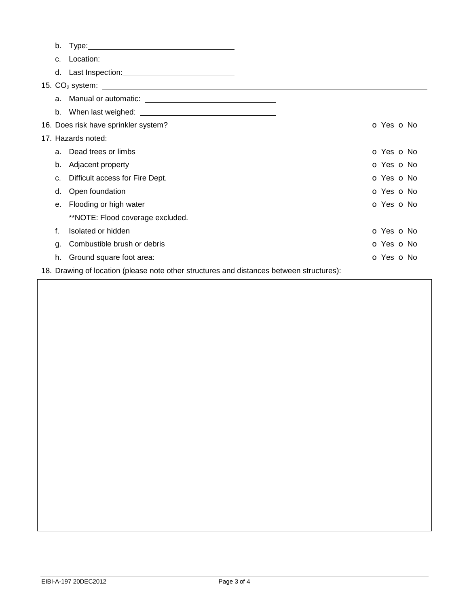| b.                                                                                       |                                      |                          |  |  |
|------------------------------------------------------------------------------------------|--------------------------------------|--------------------------|--|--|
| $C_{\cdot}$                                                                              |                                      |                          |  |  |
|                                                                                          |                                      |                          |  |  |
|                                                                                          |                                      |                          |  |  |
|                                                                                          |                                      |                          |  |  |
|                                                                                          |                                      |                          |  |  |
|                                                                                          | 16. Does risk have sprinkler system? | O Yes O No               |  |  |
|                                                                                          | 17. Hazards noted:                   |                          |  |  |
| a.                                                                                       | Dead trees or limbs                  | O Yes O No               |  |  |
| b.                                                                                       | Adjacent property                    | O Yes O No               |  |  |
| c.                                                                                       | Difficult access for Fire Dept.      | O Yes O No               |  |  |
| d.                                                                                       | Open foundation                      | O Yes O No               |  |  |
| е.                                                                                       | Flooding or high water               | O Yes O No               |  |  |
|                                                                                          | **NOTE: Flood coverage excluded.     |                          |  |  |
| f.                                                                                       | Isolated or hidden                   | O Yes O No               |  |  |
| g.                                                                                       | Combustible brush or debris          | <b>O</b> Yes <b>O</b> No |  |  |
| h.                                                                                       | Ground square foot area:             | O Yes O No               |  |  |
| 18. Drawing of location (please note other structures and distances between structures): |                                      |                          |  |  |